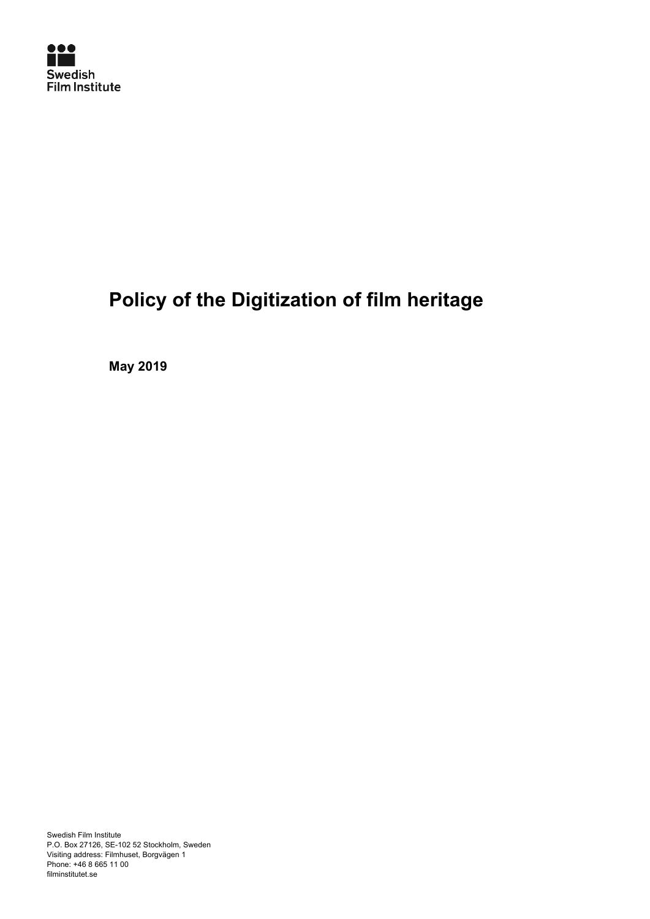

# **Policy of the Digitization of film heritage**

**May 2019**

Swedish Film Institute P.O. Box 27126, SE-102 52 Stockholm, Sweden Visiting address: Filmhuset, Borgvägen 1 Phone: +46 8 665 11 00 filminstitutet.se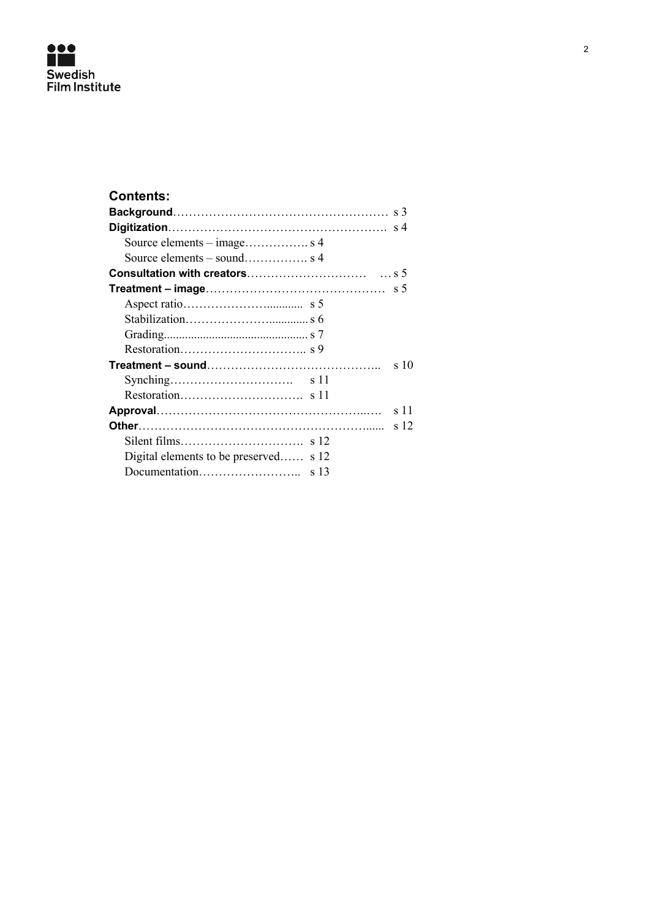

| <b>Contents:</b>                      |           |
|---------------------------------------|-----------|
|                                       |           |
|                                       |           |
|                                       |           |
|                                       |           |
|                                       |           |
|                                       |           |
|                                       |           |
|                                       |           |
|                                       |           |
|                                       |           |
|                                       | $\sin 10$ |
|                                       |           |
|                                       |           |
|                                       | s 11      |
|                                       | s 12      |
|                                       |           |
| Digital elements to be preserved s 12 |           |
|                                       |           |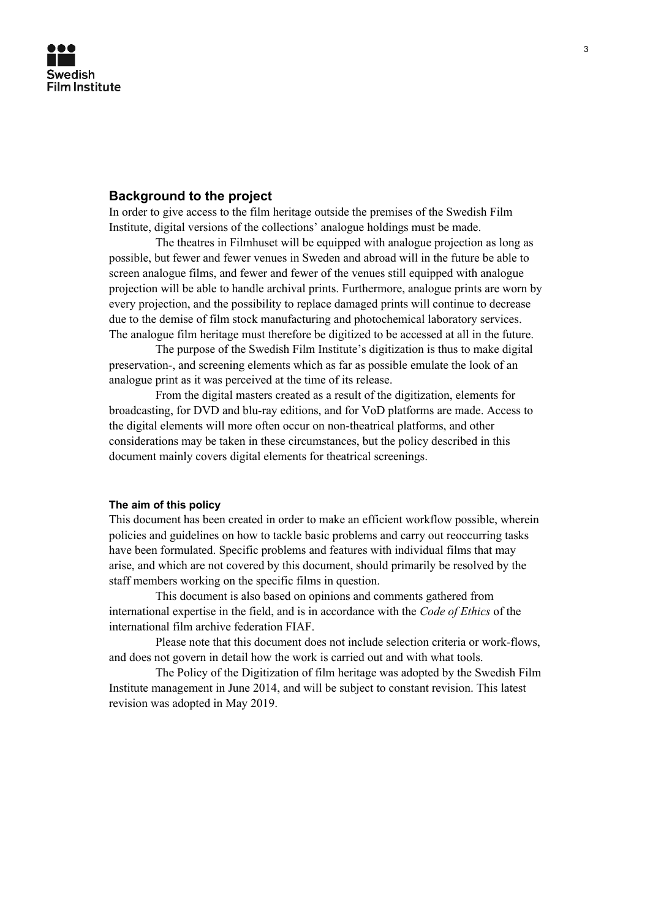# **Background to the project**

In order to give access to the film heritage outside the premises of the Swedish Film Institute, digital versions of the collections' analogue holdings must be made.

The theatres in Filmhuset will be equipped with analogue projection as long as possible, but fewer and fewer venues in Sweden and abroad will in the future be able to screen analogue films, and fewer and fewer of the venues still equipped with analogue projection will be able to handle archival prints. Furthermore, analogue prints are worn by every projection, and the possibility to replace damaged prints will continue to decrease due to the demise of film stock manufacturing and photochemical laboratory services. The analogue film heritage must therefore be digitized to be accessed at all in the future.

The purpose of the Swedish Film Institute's digitization is thus to make digital preservation-, and screening elements which as far as possible emulate the look of an analogue print as it was perceived at the time of its release.

From the digital masters created as a result of the digitization, elements for broadcasting, for DVD and blu-ray editions, and for VoD platforms are made. Access to the digital elements will more often occur on non-theatrical platforms, and other considerations may be taken in these circumstances, but the policy described in this document mainly covers digital elements for theatrical screenings.

#### **The aim of this policy**

This document has been created in order to make an efficient workflow possible, wherein policies and guidelines on how to tackle basic problems and carry out reoccurring tasks have been formulated. Specific problems and features with individual films that may arise, and which are not covered by this document, should primarily be resolved by the staff members working on the specific films in question.

This document is also based on opinions and comments gathered from international expertise in the field, and is in accordance with the *Code of Ethics* of the international film archive federation FIAF.

Please note that this document does not include selection criteria or work-flows, and does not govern in detail how the work is carried out and with what tools.

The Policy of the Digitization of film heritage was adopted by the Swedish Film Institute management in June 2014, and will be subject to constant revision. This latest revision was adopted in May 2019.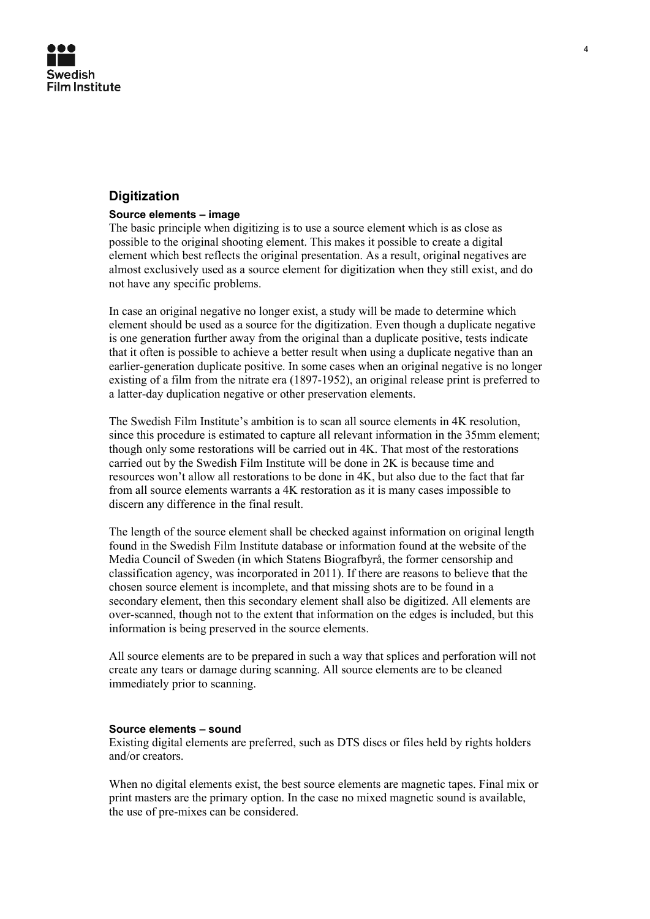

# **Digitization**

#### **Source elements – image**

The basic principle when digitizing is to use a source element which is as close as possible to the original shooting element. This makes it possible to create a digital element which best reflects the original presentation. As a result, original negatives are almost exclusively used as a source element for digitization when they still exist, and do not have any specific problems.

In case an original negative no longer exist, a study will be made to determine which element should be used as a source for the digitization. Even though a duplicate negative is one generation further away from the original than a duplicate positive, tests indicate that it often is possible to achieve a better result when using a duplicate negative than an earlier-generation duplicate positive. In some cases when an original negative is no longer existing of a film from the nitrate era (1897-1952), an original release print is preferred to a latter-day duplication negative or other preservation elements.

The Swedish Film Institute's ambition is to scan all source elements in 4K resolution, since this procedure is estimated to capture all relevant information in the 35mm element; though only some restorations will be carried out in 4K. That most of the restorations carried out by the Swedish Film Institute will be done in 2K is because time and resources won't allow all restorations to be done in 4K, but also due to the fact that far from all source elements warrants a 4K restoration as it is many cases impossible to discern any difference in the final result.

The length of the source element shall be checked against information on original length found in the Swedish Film Institute database or information found at the website of the Media Council of Sweden (in which Statens Biografbyrå, the former censorship and classification agency, was incorporated in 2011). If there are reasons to believe that the chosen source element is incomplete, and that missing shots are to be found in a secondary element, then this secondary element shall also be digitized. All elements are over-scanned, though not to the extent that information on the edges is included, but this information is being preserved in the source elements.

All source elements are to be prepared in such a way that splices and perforation will not create any tears or damage during scanning. All source elements are to be cleaned immediately prior to scanning.

#### **Source elements – sound**

Existing digital elements are preferred, such as DTS discs or files held by rights holders and/or creators.

When no digital elements exist, the best source elements are magnetic tapes. Final mix or print masters are the primary option. In the case no mixed magnetic sound is available, the use of pre-mixes can be considered.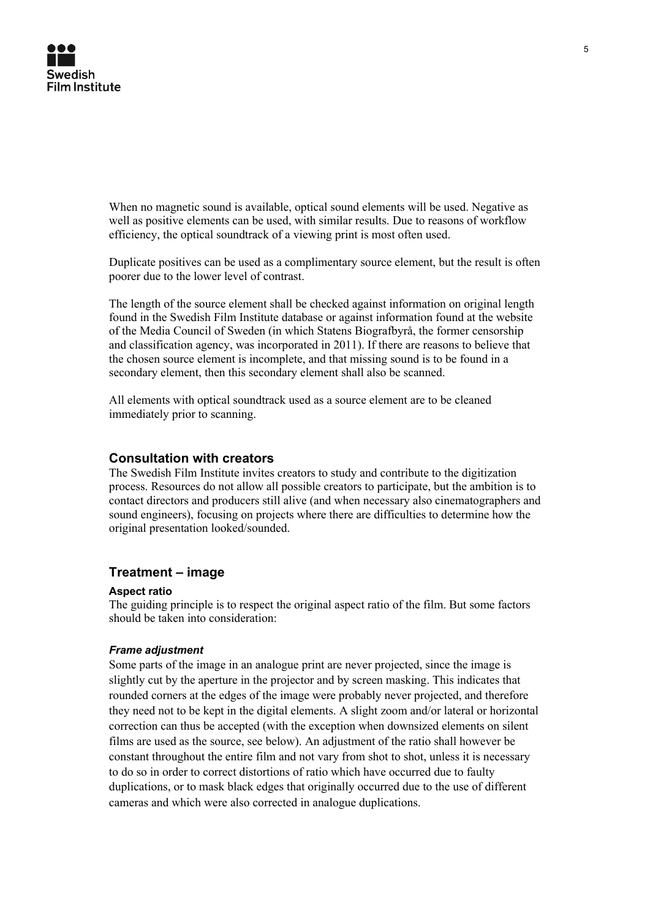

When no magnetic sound is available, optical sound elements will be used. Negative as well as positive elements can be used, with similar results. Due to reasons of workflow efficiency, the optical soundtrack of a viewing print is most often used.

Duplicate positives can be used as a complimentary source element, but the result is often poorer due to the lower level of contrast.

The length of the source element shall be checked against information on original length found in the Swedish Film Institute database or against information found at the website of the Media Council of Sweden (in which Statens Biografbyrå, the former censorship and classification agency, was incorporated in 2011). If there are reasons to believe that the chosen source element is incomplete, and that missing sound is to be found in a secondary element, then this secondary element shall also be scanned.

All elements with optical soundtrack used as a source element are to be cleaned immediately prior to scanning.

# **Consultation with creators**

The Swedish Film Institute invites creators to study and contribute to the digitization process. Resources do not allow all possible creators to participate, but the ambition is to contact directors and producers still alive (and when necessary also cinematographers and sound engineers), focusing on projects where there are difficulties to determine how the original presentation looked/sounded.

# **Treatment – image**

#### **Aspect ratio**

The guiding principle is to respect the original aspect ratio of the film. But some factors should be taken into consideration:

# *Frame adjustment*

Some parts of the image in an analogue print are never projected, since the image is slightly cut by the aperture in the projector and by screen masking. This indicates that rounded corners at the edges of the image were probably never projected, and therefore they need not to be kept in the digital elements. A slight zoom and/or lateral or horizontal correction can thus be accepted (with the exception when downsized elements on silent films are used as the source, see below). An adjustment of the ratio shall however be constant throughout the entire film and not vary from shot to shot, unless it is necessary to do so in order to correct distortions of ratio which have occurred due to faulty duplications, or to mask black edges that originally occurred due to the use of different cameras and which were also corrected in analogue duplications.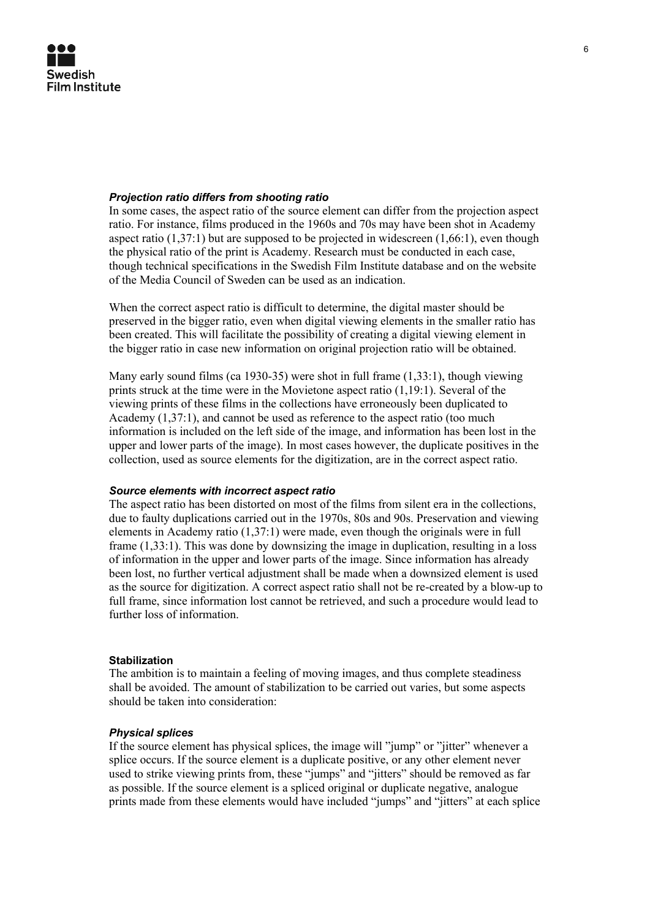

# *Projection ratio differs from shooting ratio*

In some cases, the aspect ratio of the source element can differ from the projection aspect ratio. For instance, films produced in the 1960s and 70s may have been shot in Academy aspect ratio  $(1,37:1)$  but are supposed to be projected in widescreen  $(1,66:1)$ , even though the physical ratio of the print is Academy. Research must be conducted in each case, though technical specifications in the Swedish Film Institute database and on the website of the Media Council of Sweden can be used as an indication.

When the correct aspect ratio is difficult to determine, the digital master should be preserved in the bigger ratio, even when digital viewing elements in the smaller ratio has been created. This will facilitate the possibility of creating a digital viewing element in the bigger ratio in case new information on original projection ratio will be obtained.

Many early sound films (ca 1930-35) were shot in full frame (1,33:1), though viewing prints struck at the time were in the Movietone aspect ratio (1,19:1). Several of the viewing prints of these films in the collections have erroneously been duplicated to Academy (1,37:1), and cannot be used as reference to the aspect ratio (too much information is included on the left side of the image, and information has been lost in the upper and lower parts of the image). In most cases however, the duplicate positives in the collection, used as source elements for the digitization, are in the correct aspect ratio.

#### *Source elements with incorrect aspect ratio*

The aspect ratio has been distorted on most of the films from silent era in the collections, due to faulty duplications carried out in the 1970s, 80s and 90s. Preservation and viewing elements in Academy ratio (1,37:1) were made, even though the originals were in full frame (1,33:1). This was done by downsizing the image in duplication, resulting in a loss of information in the upper and lower parts of the image. Since information has already been lost, no further vertical adjustment shall be made when a downsized element is used as the source for digitization. A correct aspect ratio shall not be re-created by a blow-up to full frame, since information lost cannot be retrieved, and such a procedure would lead to further loss of information.

#### **Stabilization**

The ambition is to maintain a feeling of moving images, and thus complete steadiness shall be avoided. The amount of stabilization to be carried out varies, but some aspects should be taken into consideration:

# *Physical splices*

If the source element has physical splices, the image will "jump" or "jitter" whenever a splice occurs. If the source element is a duplicate positive, or any other element never used to strike viewing prints from, these "jumps" and "jitters" should be removed as far as possible. If the source element is a spliced original or duplicate negative, analogue prints made from these elements would have included "jumps" and "jitters" at each splice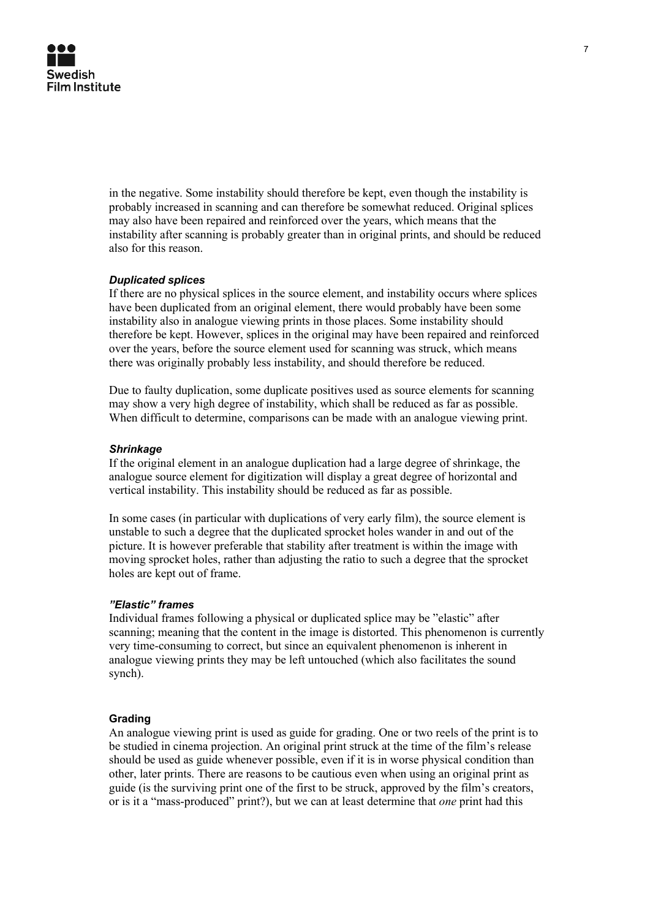

in the negative. Some instability should therefore be kept, even though the instability is probably increased in scanning and can therefore be somewhat reduced. Original splices may also have been repaired and reinforced over the years, which means that the instability after scanning is probably greater than in original prints, and should be reduced also for this reason.

## *Duplicated splices*

If there are no physical splices in the source element, and instability occurs where splices have been duplicated from an original element, there would probably have been some instability also in analogue viewing prints in those places. Some instability should therefore be kept. However, splices in the original may have been repaired and reinforced over the years, before the source element used for scanning was struck, which means there was originally probably less instability, and should therefore be reduced.

Due to faulty duplication, some duplicate positives used as source elements for scanning may show a very high degree of instability, which shall be reduced as far as possible. When difficult to determine, comparisons can be made with an analogue viewing print.

## *Shrinkage*

If the original element in an analogue duplication had a large degree of shrinkage, the analogue source element for digitization will display a great degree of horizontal and vertical instability. This instability should be reduced as far as possible.

In some cases (in particular with duplications of very early film), the source element is unstable to such a degree that the duplicated sprocket holes wander in and out of the picture. It is however preferable that stability after treatment is within the image with moving sprocket holes, rather than adjusting the ratio to such a degree that the sprocket holes are kept out of frame.

## *"Elastic" frames*

Individual frames following a physical or duplicated splice may be "elastic" after scanning; meaning that the content in the image is distorted. This phenomenon is currently very time-consuming to correct, but since an equivalent phenomenon is inherent in analogue viewing prints they may be left untouched (which also facilitates the sound synch).

## **Grading**

An analogue viewing print is used as guide for grading. One or two reels of the print is to be studied in cinema projection. An original print struck at the time of the film's release should be used as guide whenever possible, even if it is in worse physical condition than other, later prints. There are reasons to be cautious even when using an original print as guide (is the surviving print one of the first to be struck, approved by the film's creators, or is it a "mass-produced" print?), but we can at least determine that *one* print had this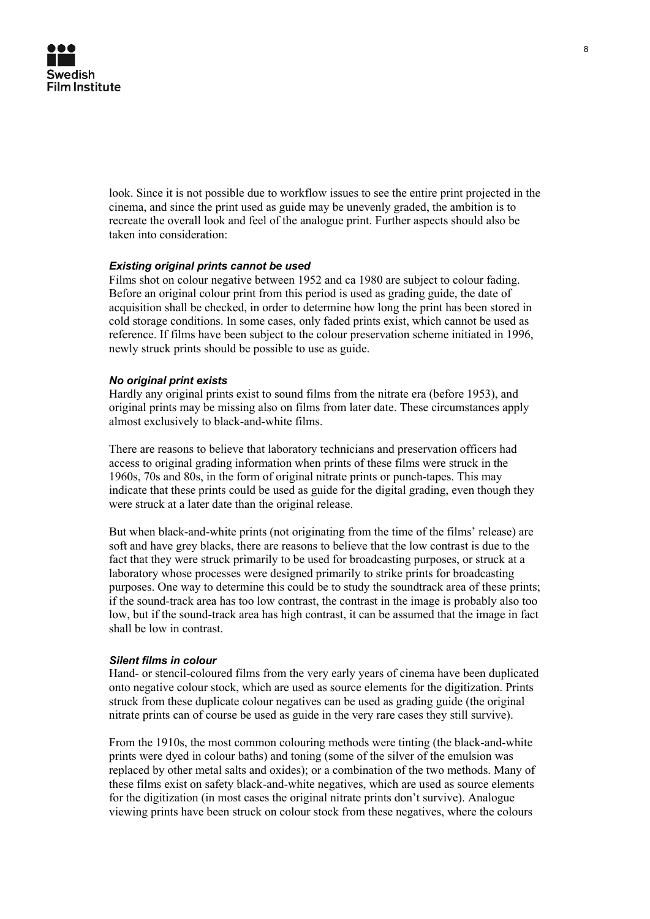look. Since it is not possible due to workflow issues to see the entire print projected in the cinema, and since the print used as guide may be unevenly graded, the ambition is to recreate the overall look and feel of the analogue print. Further aspects should also be taken into consideration:

# *Existing original prints cannot be used*

Films shot on colour negative between 1952 and ca 1980 are subject to colour fading. Before an original colour print from this period is used as grading guide, the date of acquisition shall be checked, in order to determine how long the print has been stored in cold storage conditions. In some cases, only faded prints exist, which cannot be used as reference. If films have been subject to the colour preservation scheme initiated in 1996, newly struck prints should be possible to use as guide.

# *No original print exists*

Hardly any original prints exist to sound films from the nitrate era (before 1953), and original prints may be missing also on films from later date. These circumstances apply almost exclusively to black-and-white films.

There are reasons to believe that laboratory technicians and preservation officers had access to original grading information when prints of these films were struck in the 1960s, 70s and 80s, in the form of original nitrate prints or punch-tapes. This may indicate that these prints could be used as guide for the digital grading, even though they were struck at a later date than the original release.

But when black-and-white prints (not originating from the time of the films' release) are soft and have grey blacks, there are reasons to believe that the low contrast is due to the fact that they were struck primarily to be used for broadcasting purposes, or struck at a laboratory whose processes were designed primarily to strike prints for broadcasting purposes. One way to determine this could be to study the soundtrack area of these prints; if the sound-track area has too low contrast, the contrast in the image is probably also too low, but if the sound-track area has high contrast, it can be assumed that the image in fact shall be low in contrast.

#### *Silent films in colour*

Hand- or stencil-coloured films from the very early years of cinema have been duplicated onto negative colour stock, which are used as source elements for the digitization. Prints struck from these duplicate colour negatives can be used as grading guide (the original nitrate prints can of course be used as guide in the very rare cases they still survive).

From the 1910s, the most common colouring methods were tinting (the black-and-white prints were dyed in colour baths) and toning (some of the silver of the emulsion was replaced by other metal salts and oxides); or a combination of the two methods. Many of these films exist on safety black-and-white negatives, which are used as source elements for the digitization (in most cases the original nitrate prints don't survive). Analogue viewing prints have been struck on colour stock from these negatives, where the colours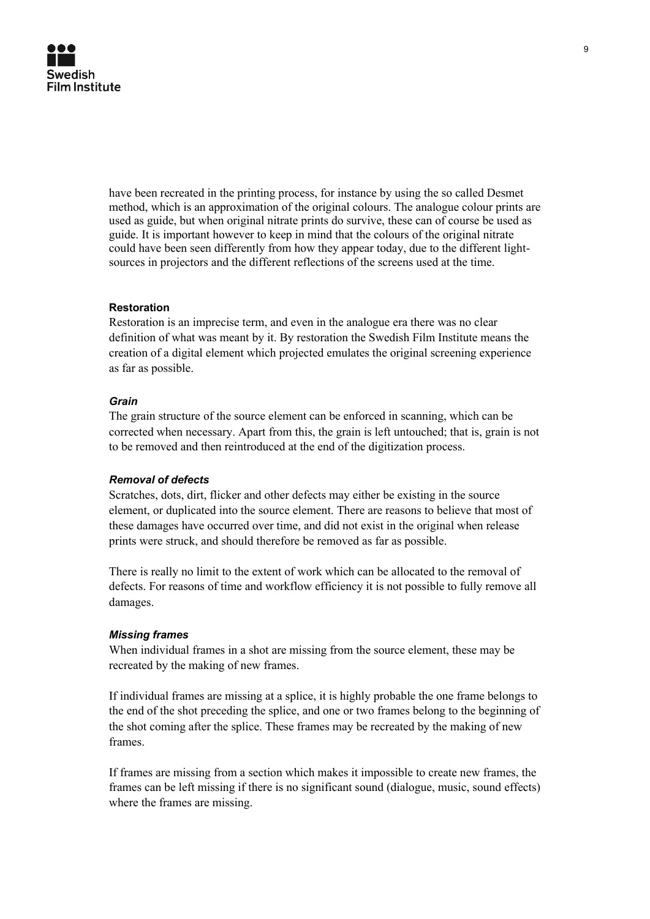have been recreated in the printing process, for instance by using the so called Desmet method, which is an approximation of the original colours. The analogue colour prints are used as guide, but when original nitrate prints do survive, these can of course be used as guide. It is important however to keep in mind that the colours of the original nitrate could have been seen differently from how they appear today, due to the different lightsources in projectors and the different reflections of the screens used at the time.

# **Restoration**

Restoration is an imprecise term, and even in the analogue era there was no clear definition of what was meant by it. By restoration the Swedish Film Institute means the creation of a digital element which projected emulates the original screening experience as far as possible.

# *Grain*

The grain structure of the source element can be enforced in scanning, which can be corrected when necessary. Apart from this, the grain is left untouched; that is, grain is not to be removed and then reintroduced at the end of the digitization process.

## *Removal of defects*

Scratches, dots, dirt, flicker and other defects may either be existing in the source element, or duplicated into the source element. There are reasons to believe that most of these damages have occurred over time, and did not exist in the original when release prints were struck, and should therefore be removed as far as possible.

There is really no limit to the extent of work which can be allocated to the removal of defects. For reasons of time and workflow efficiency it is not possible to fully remove all damages.

## *Missing frames*

When individual frames in a shot are missing from the source element, these may be recreated by the making of new frames.

If individual frames are missing at a splice, it is highly probable the one frame belongs to the end of the shot preceding the splice, and one or two frames belong to the beginning of the shot coming after the splice. These frames may be recreated by the making of new frames.

If frames are missing from a section which makes it impossible to create new frames, the frames can be left missing if there is no significant sound (dialogue, music, sound effects) where the frames are missing.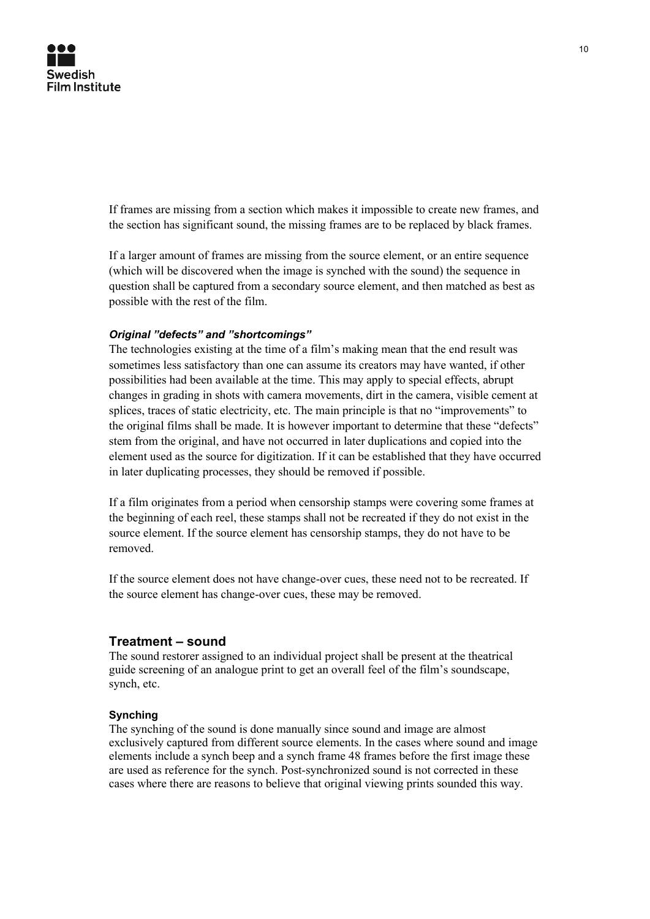If frames are missing from a section which makes it impossible to create new frames, and the section has significant sound, the missing frames are to be replaced by black frames.

If a larger amount of frames are missing from the source element, or an entire sequence (which will be discovered when the image is synched with the sound) the sequence in question shall be captured from a secondary source element, and then matched as best as possible with the rest of the film.

# *Original "defects" and "shortcomings"*

The technologies existing at the time of a film's making mean that the end result was sometimes less satisfactory than one can assume its creators may have wanted, if other possibilities had been available at the time. This may apply to special effects, abrupt changes in grading in shots with camera movements, dirt in the camera, visible cement at splices, traces of static electricity, etc. The main principle is that no "improvements" to the original films shall be made. It is however important to determine that these "defects" stem from the original, and have not occurred in later duplications and copied into the element used as the source for digitization. If it can be established that they have occurred in later duplicating processes, they should be removed if possible.

If a film originates from a period when censorship stamps were covering some frames at the beginning of each reel, these stamps shall not be recreated if they do not exist in the source element. If the source element has censorship stamps, they do not have to be removed.

If the source element does not have change-over cues, these need not to be recreated. If the source element has change-over cues, these may be removed.

# **Treatment – sound**

The sound restorer assigned to an individual project shall be present at the theatrical guide screening of an analogue print to get an overall feel of the film's soundscape, synch, etc.

## **Synching**

The synching of the sound is done manually since sound and image are almost exclusively captured from different source elements. In the cases where sound and image elements include a synch beep and a synch frame 48 frames before the first image these are used as reference for the synch. Post-synchronized sound is not corrected in these cases where there are reasons to believe that original viewing prints sounded this way.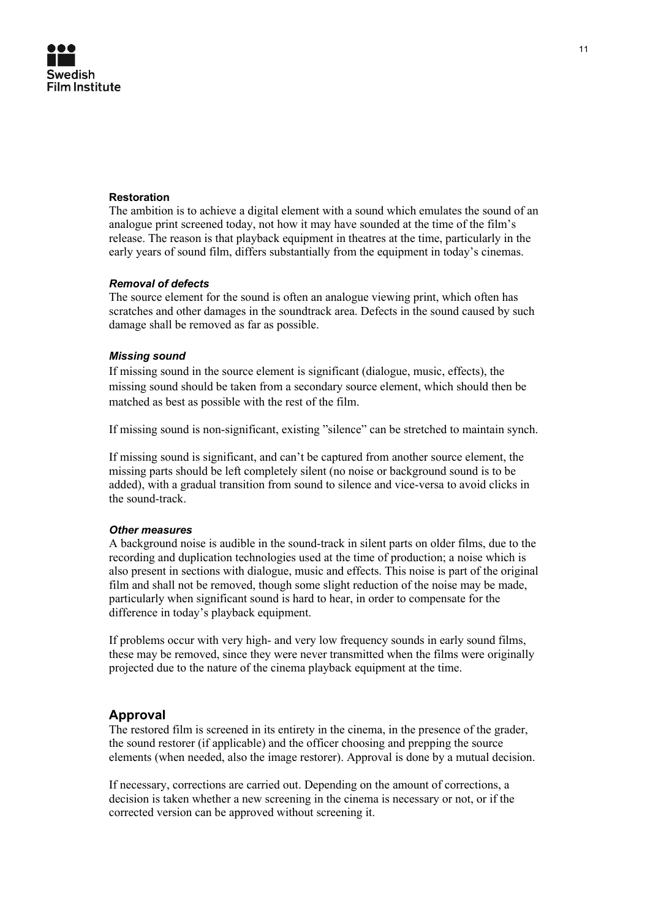# **Swedish Film Institute**

## **Restoration**

The ambition is to achieve a digital element with a sound which emulates the sound of an analogue print screened today, not how it may have sounded at the time of the film's release. The reason is that playback equipment in theatres at the time, particularly in the early years of sound film, differs substantially from the equipment in today's cinemas.

# *Removal of defects*

The source element for the sound is often an analogue viewing print, which often has scratches and other damages in the soundtrack area. Defects in the sound caused by such damage shall be removed as far as possible.

# *Missing sound*

If missing sound in the source element is significant (dialogue, music, effects), the missing sound should be taken from a secondary source element, which should then be matched as best as possible with the rest of the film.

If missing sound is non-significant, existing "silence" can be stretched to maintain synch.

If missing sound is significant, and can't be captured from another source element, the missing parts should be left completely silent (no noise or background sound is to be added), with a gradual transition from sound to silence and vice-versa to avoid clicks in the sound-track.

## *Other measures*

A background noise is audible in the sound-track in silent parts on older films, due to the recording and duplication technologies used at the time of production; a noise which is also present in sections with dialogue, music and effects. This noise is part of the original film and shall not be removed, though some slight reduction of the noise may be made, particularly when significant sound is hard to hear, in order to compensate for the difference in today's playback equipment.

If problems occur with very high- and very low frequency sounds in early sound films, these may be removed, since they were never transmitted when the films were originally projected due to the nature of the cinema playback equipment at the time.

# **Approval**

The restored film is screened in its entirety in the cinema, in the presence of the grader, the sound restorer (if applicable) and the officer choosing and prepping the source elements (when needed, also the image restorer). Approval is done by a mutual decision.

If necessary, corrections are carried out. Depending on the amount of corrections, a decision is taken whether a new screening in the cinema is necessary or not, or if the corrected version can be approved without screening it.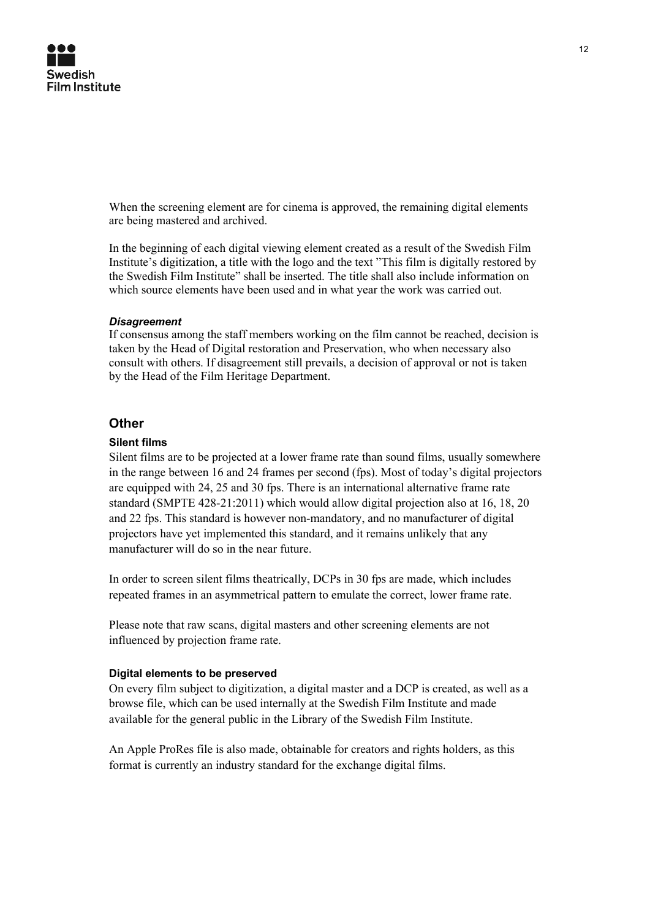When the screening element are for cinema is approved, the remaining digital elements are being mastered and archived.

In the beginning of each digital viewing element created as a result of the Swedish Film Institute's digitization, a title with the logo and the text "This film is digitally restored by the Swedish Film Institute" shall be inserted. The title shall also include information on which source elements have been used and in what year the work was carried out.

## *Disagreement*

If consensus among the staff members working on the film cannot be reached, decision is taken by the Head of Digital restoration and Preservation, who when necessary also consult with others. If disagreement still prevails, a decision of approval or not is taken by the Head of the Film Heritage Department.

# **Other**

# **Silent films**

Silent films are to be projected at a lower frame rate than sound films, usually somewhere in the range between 16 and 24 frames per second (fps). Most of today's digital projectors are equipped with 24, 25 and 30 fps. There is an international alternative frame rate standard (SMPTE 428-21:2011) which would allow digital projection also at 16, 18, 20 and 22 fps. This standard is however non-mandatory, and no manufacturer of digital projectors have yet implemented this standard, and it remains unlikely that any manufacturer will do so in the near future.

In order to screen silent films theatrically, DCPs in 30 fps are made, which includes repeated frames in an asymmetrical pattern to emulate the correct, lower frame rate.

Please note that raw scans, digital masters and other screening elements are not influenced by projection frame rate.

## **Digital elements to be preserved**

On every film subject to digitization, a digital master and a DCP is created, as well as a browse file, which can be used internally at the Swedish Film Institute and made available for the general public in the Library of the Swedish Film Institute.

An Apple ProRes file is also made, obtainable for creators and rights holders, as this format is currently an industry standard for the exchange digital films.